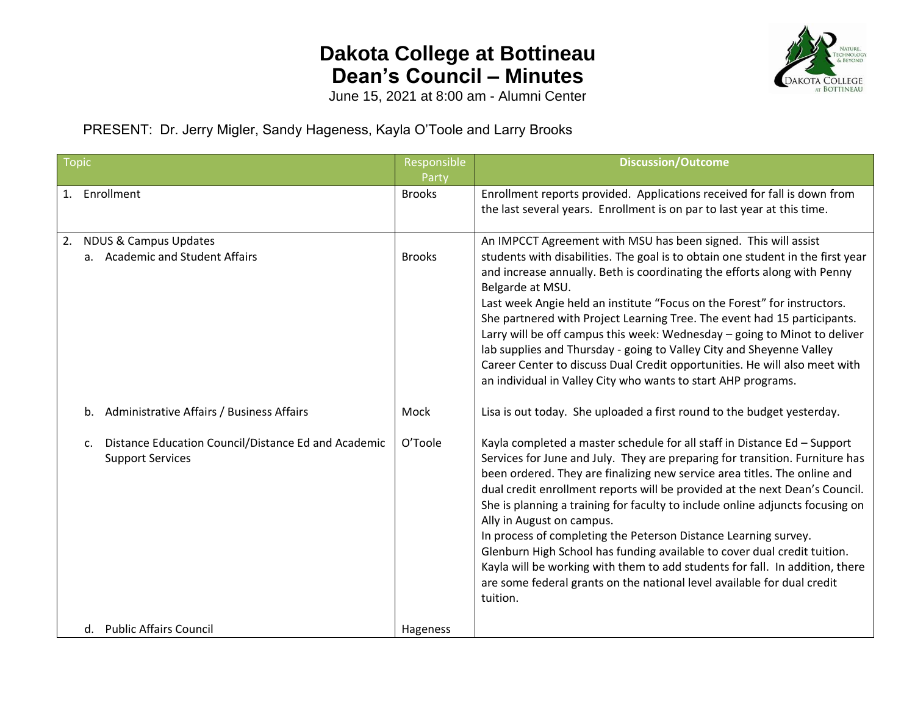## **Dakota College at Bottineau Dean's Council – Minutes**



June 15, 2021 at 8:00 am - Alumni Center

PRESENT: Dr. Jerry Migler, Sandy Hageness, Kayla O'Toole and Larry Brooks

| Topic |                                                                                                  | Responsible            | <b>Discussion/Outcome</b>                                                                                                                                                                                                                                                                                                                                                                                                                                                                                                                                                                                                                                                                                                                                |
|-------|--------------------------------------------------------------------------------------------------|------------------------|----------------------------------------------------------------------------------------------------------------------------------------------------------------------------------------------------------------------------------------------------------------------------------------------------------------------------------------------------------------------------------------------------------------------------------------------------------------------------------------------------------------------------------------------------------------------------------------------------------------------------------------------------------------------------------------------------------------------------------------------------------|
|       | 1. Enrollment                                                                                    | Party<br><b>Brooks</b> | Enrollment reports provided. Applications received for fall is down from<br>the last several years. Enrollment is on par to last year at this time.                                                                                                                                                                                                                                                                                                                                                                                                                                                                                                                                                                                                      |
|       | 2. NDUS & Campus Updates<br>a. Academic and Student Affairs                                      | <b>Brooks</b>          | An IMPCCT Agreement with MSU has been signed. This will assist<br>students with disabilities. The goal is to obtain one student in the first year<br>and increase annually. Beth is coordinating the efforts along with Penny<br>Belgarde at MSU.<br>Last week Angie held an institute "Focus on the Forest" for instructors.<br>She partnered with Project Learning Tree. The event had 15 participants.<br>Larry will be off campus this week: Wednesday - going to Minot to deliver<br>lab supplies and Thursday - going to Valley City and Sheyenne Valley<br>Career Center to discuss Dual Credit opportunities. He will also meet with<br>an individual in Valley City who wants to start AHP programs.                                            |
|       | Administrative Affairs / Business Affairs<br>b.                                                  | Mock                   | Lisa is out today. She uploaded a first round to the budget yesterday.                                                                                                                                                                                                                                                                                                                                                                                                                                                                                                                                                                                                                                                                                   |
|       | Distance Education Council/Distance Ed and Academic<br>$\mathsf{c}$ .<br><b>Support Services</b> | O'Toole                | Kayla completed a master schedule for all staff in Distance Ed - Support<br>Services for June and July. They are preparing for transition. Furniture has<br>been ordered. They are finalizing new service area titles. The online and<br>dual credit enrollment reports will be provided at the next Dean's Council.<br>She is planning a training for faculty to include online adjuncts focusing on<br>Ally in August on campus.<br>In process of completing the Peterson Distance Learning survey.<br>Glenburn High School has funding available to cover dual credit tuition.<br>Kayla will be working with them to add students for fall. In addition, there<br>are some federal grants on the national level available for dual credit<br>tuition. |
|       | d. Public Affairs Council                                                                        | Hageness               |                                                                                                                                                                                                                                                                                                                                                                                                                                                                                                                                                                                                                                                                                                                                                          |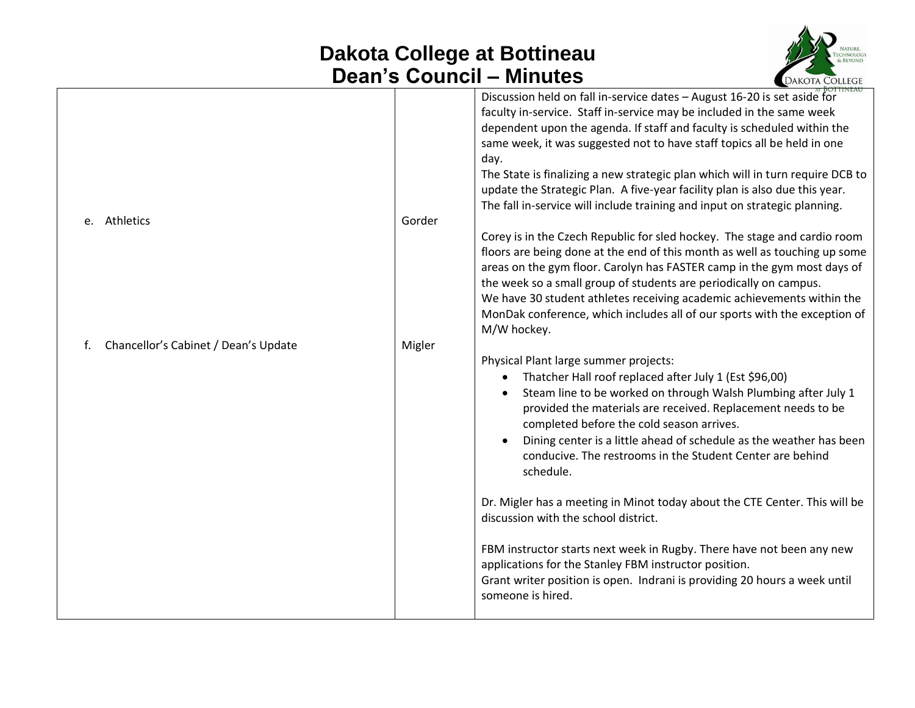## **Dakota College at Bottineau Dean's Council – Minutes**



|        | Discussion held on fall in-service dates - August 16-20 is set aside for<br>faculty in-service. Staff in-service may be included in the same week<br>dependent upon the agenda. If staff and faculty is scheduled within the<br>same week, it was suggested not to have staff topics all be held in one                                                                                                                                                                       |
|--------|-------------------------------------------------------------------------------------------------------------------------------------------------------------------------------------------------------------------------------------------------------------------------------------------------------------------------------------------------------------------------------------------------------------------------------------------------------------------------------|
|        | day.<br>The State is finalizing a new strategic plan which will in turn require DCB to<br>update the Strategic Plan. A five-year facility plan is also due this year.<br>The fall in-service will include training and input on strategic planning.                                                                                                                                                                                                                           |
|        | Corey is in the Czech Republic for sled hockey. The stage and cardio room<br>floors are being done at the end of this month as well as touching up some<br>areas on the gym floor. Carolyn has FASTER camp in the gym most days of<br>the week so a small group of students are periodically on campus.<br>We have 30 student athletes receiving academic achievements within the<br>MonDak conference, which includes all of our sports with the exception of<br>M/W hockey. |
| Migler | Physical Plant large summer projects:<br>Thatcher Hall roof replaced after July 1 (Est \$96,00)<br>Steam line to be worked on through Walsh Plumbing after July 1<br>provided the materials are received. Replacement needs to be<br>completed before the cold season arrives.<br>Dining center is a little ahead of schedule as the weather has been<br>conducive. The restrooms in the Student Center are behind<br>schedule.                                               |
|        | Dr. Migler has a meeting in Minot today about the CTE Center. This will be<br>discussion with the school district.                                                                                                                                                                                                                                                                                                                                                            |
|        | FBM instructor starts next week in Rugby. There have not been any new<br>applications for the Stanley FBM instructor position.<br>Grant writer position is open. Indrani is providing 20 hours a week until<br>someone is hired.                                                                                                                                                                                                                                              |
|        | Gorder                                                                                                                                                                                                                                                                                                                                                                                                                                                                        |